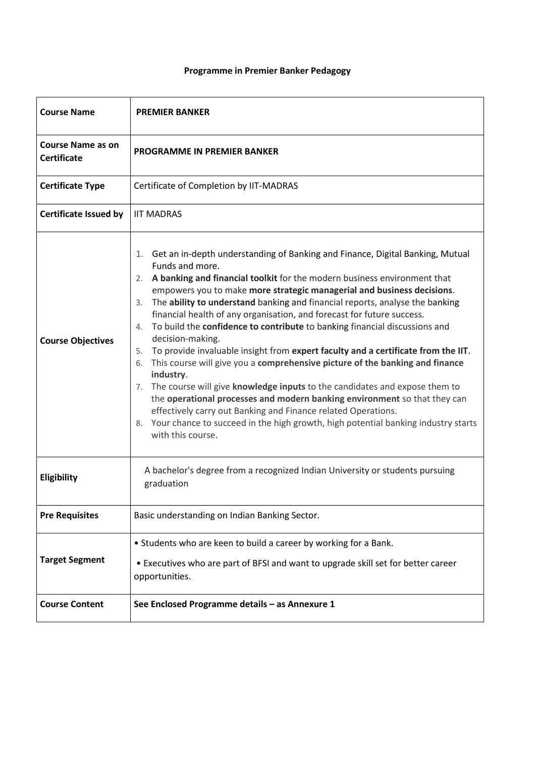# **Programme in Premier Banker Pedagogy**

| <b>Course Name</b>                             | <b>PREMIER BANKER</b>                                                                                                                                                                                                                                                                                                                                                                                                                                                                                                                                                                                                                                                                                                                                                                                                                                                                                                                                                                                                                                                 |  |  |  |
|------------------------------------------------|-----------------------------------------------------------------------------------------------------------------------------------------------------------------------------------------------------------------------------------------------------------------------------------------------------------------------------------------------------------------------------------------------------------------------------------------------------------------------------------------------------------------------------------------------------------------------------------------------------------------------------------------------------------------------------------------------------------------------------------------------------------------------------------------------------------------------------------------------------------------------------------------------------------------------------------------------------------------------------------------------------------------------------------------------------------------------|--|--|--|
| <b>Course Name as on</b><br><b>Certificate</b> | PROGRAMME IN PREMIER BANKER                                                                                                                                                                                                                                                                                                                                                                                                                                                                                                                                                                                                                                                                                                                                                                                                                                                                                                                                                                                                                                           |  |  |  |
| <b>Certificate Type</b>                        | Certificate of Completion by IIT-MADRAS                                                                                                                                                                                                                                                                                                                                                                                                                                                                                                                                                                                                                                                                                                                                                                                                                                                                                                                                                                                                                               |  |  |  |
| <b>Certificate Issued by</b>                   | <b>IIT MADRAS</b>                                                                                                                                                                                                                                                                                                                                                                                                                                                                                                                                                                                                                                                                                                                                                                                                                                                                                                                                                                                                                                                     |  |  |  |
| <b>Course Objectives</b>                       | 1. Get an in-depth understanding of Banking and Finance, Digital Banking, Mutual<br>Funds and more.<br>2. A banking and financial toolkit for the modern business environment that<br>empowers you to make more strategic managerial and business decisions.<br>3. The ability to understand banking and financial reports, analyse the banking<br>financial health of any organisation, and forecast for future success.<br>To build the confidence to contribute to banking financial discussions and<br>4.<br>decision-making.<br>5. To provide invaluable insight from expert faculty and a certificate from the IIT.<br>6. This course will give you a comprehensive picture of the banking and finance<br>industry.<br>7. The course will give knowledge inputs to the candidates and expose them to<br>the operational processes and modern banking environment so that they can<br>effectively carry out Banking and Finance related Operations.<br>8. Your chance to succeed in the high growth, high potential banking industry starts<br>with this course. |  |  |  |
| Eligibility                                    | A bachelor's degree from a recognized Indian University or students pursuing<br>graduation                                                                                                                                                                                                                                                                                                                                                                                                                                                                                                                                                                                                                                                                                                                                                                                                                                                                                                                                                                            |  |  |  |
| <b>Pre Requisites</b>                          | Basic understanding on Indian Banking Sector.                                                                                                                                                                                                                                                                                                                                                                                                                                                                                                                                                                                                                                                                                                                                                                                                                                                                                                                                                                                                                         |  |  |  |
| <b>Target Segment</b>                          | • Students who are keen to build a career by working for a Bank.<br>• Executives who are part of BFSI and want to upgrade skill set for better career<br>opportunities.                                                                                                                                                                                                                                                                                                                                                                                                                                                                                                                                                                                                                                                                                                                                                                                                                                                                                               |  |  |  |
| <b>Course Content</b>                          | See Enclosed Programme details - as Annexure 1                                                                                                                                                                                                                                                                                                                                                                                                                                                                                                                                                                                                                                                                                                                                                                                                                                                                                                                                                                                                                        |  |  |  |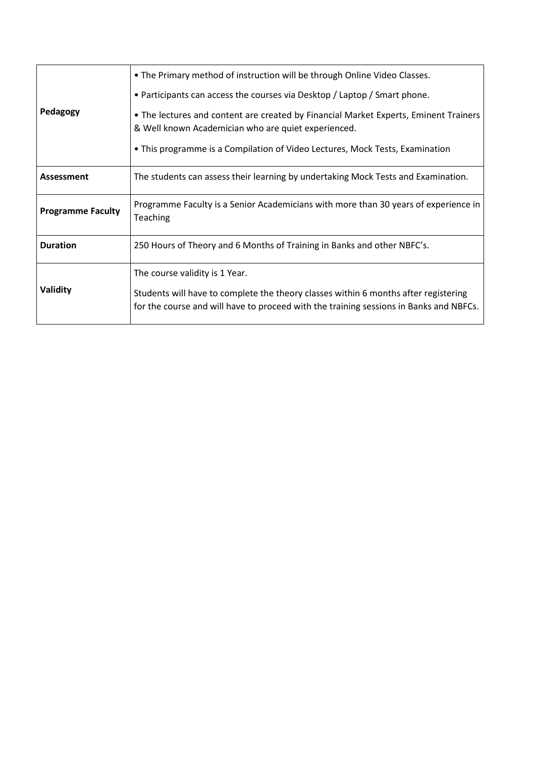|                          | • The Primary method of instruction will be through Online Video Classes.                                                                                                     |  |  |
|--------------------------|-------------------------------------------------------------------------------------------------------------------------------------------------------------------------------|--|--|
| Pedagogy                 | • Participants can access the courses via Desktop / Laptop / Smart phone.                                                                                                     |  |  |
|                          | • The lectures and content are created by Financial Market Experts, Eminent Trainers<br>& Well known Academician who are quiet experienced.                                   |  |  |
|                          | • This programme is a Compilation of Video Lectures, Mock Tests, Examination                                                                                                  |  |  |
| <b>Assessment</b>        | The students can assess their learning by undertaking Mock Tests and Examination.                                                                                             |  |  |
| <b>Programme Faculty</b> | Programme Faculty is a Senior Academicians with more than 30 years of experience in<br>Teaching                                                                               |  |  |
| <b>Duration</b>          | 250 Hours of Theory and 6 Months of Training in Banks and other NBFC's.                                                                                                       |  |  |
| Validity                 | The course validity is 1 Year.                                                                                                                                                |  |  |
|                          | Students will have to complete the theory classes within 6 months after registering<br>for the course and will have to proceed with the training sessions in Banks and NBFCs. |  |  |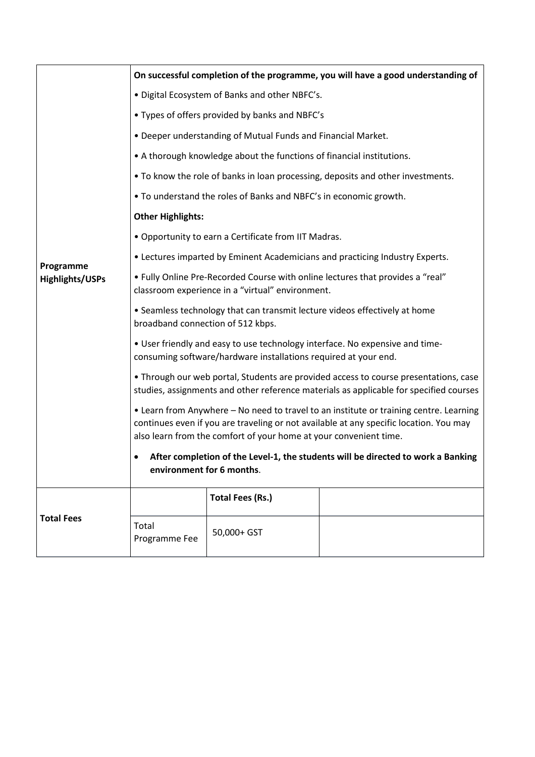|                                     | On successful completion of the programme, you will have a good understanding of                                                                                                                                                                      |                         |  |  |  |
|-------------------------------------|-------------------------------------------------------------------------------------------------------------------------------------------------------------------------------------------------------------------------------------------------------|-------------------------|--|--|--|
| Programme<br><b>Highlights/USPs</b> | · Digital Ecosystem of Banks and other NBFC's.                                                                                                                                                                                                        |                         |  |  |  |
|                                     | • Types of offers provided by banks and NBFC's                                                                                                                                                                                                        |                         |  |  |  |
|                                     | • Deeper understanding of Mutual Funds and Financial Market.                                                                                                                                                                                          |                         |  |  |  |
|                                     | • A thorough knowledge about the functions of financial institutions.                                                                                                                                                                                 |                         |  |  |  |
|                                     | • To know the role of banks in loan processing, deposits and other investments.                                                                                                                                                                       |                         |  |  |  |
|                                     | . To understand the roles of Banks and NBFC's in economic growth.                                                                                                                                                                                     |                         |  |  |  |
|                                     | <b>Other Highlights:</b>                                                                                                                                                                                                                              |                         |  |  |  |
|                                     | • Opportunity to earn a Certificate from IIT Madras.                                                                                                                                                                                                  |                         |  |  |  |
|                                     | • Lectures imparted by Eminent Academicians and practicing Industry Experts.                                                                                                                                                                          |                         |  |  |  |
|                                     | • Fully Online Pre-Recorded Course with online lectures that provides a "real"<br>classroom experience in a "virtual" environment.                                                                                                                    |                         |  |  |  |
|                                     | • Seamless technology that can transmit lecture videos effectively at home<br>broadband connection of 512 kbps.                                                                                                                                       |                         |  |  |  |
|                                     | . User friendly and easy to use technology interface. No expensive and time-<br>consuming software/hardware installations required at your end.                                                                                                       |                         |  |  |  |
|                                     | • Through our web portal, Students are provided access to course presentations, case<br>studies, assignments and other reference materials as applicable for specified courses                                                                        |                         |  |  |  |
|                                     | • Learn from Anywhere - No need to travel to an institute or training centre. Learning<br>continues even if you are traveling or not available at any specific location. You may<br>also learn from the comfort of your home at your convenient time. |                         |  |  |  |
|                                     | After completion of the Level-1, the students will be directed to work a Banking<br>٠<br>environment for 6 months.                                                                                                                                    |                         |  |  |  |
| <b>Total Fees</b>                   |                                                                                                                                                                                                                                                       | <b>Total Fees (Rs.)</b> |  |  |  |
|                                     | Total<br>Programme Fee                                                                                                                                                                                                                                | 50,000+ GST             |  |  |  |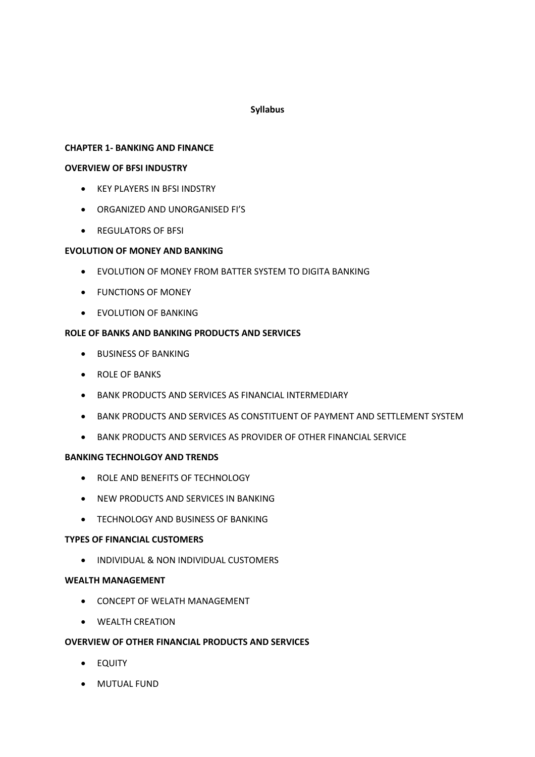# **Syllabus**

## **CHAPTER 1- BANKING AND FINANCE**

## **OVERVIEW OF BFSI INDUSTRY**

- KEY PLAYERS IN BFSI INDSTRY
- ORGANIZED AND UNORGANISED FI'S
- REGULATORS OF BFSI

# **EVOLUTION OF MONEY AND BANKING**

- EVOLUTION OF MONEY FROM BATTER SYSTEM TO DIGITA BANKING
- FUNCTIONS OF MONEY
- EVOLUTION OF BANKING

# **ROLE OF BANKS AND BANKING PRODUCTS AND SERVICES**

- BUSINESS OF BANKING
- ROLE OF BANKS
- BANK PRODUCTS AND SERVICES AS FINANCIAL INTERMEDIARY
- BANK PRODUCTS AND SERVICES AS CONSTITUENT OF PAYMENT AND SETTLEMENT SYSTEM
- BANK PRODUCTS AND SERVICES AS PROVIDER OF OTHER FINANCIAL SERVICE

### **BANKING TECHNOLGOY AND TRENDS**

- ROLE AND BENEFITS OF TECHNOLOGY
- NEW PRODUCTS AND SERVICES IN BANKING
- TECHNOLOGY AND BUSINESS OF BANKING

### **TYPES OF FINANCIAL CUSTOMERS**

• INDIVIDUAL & NON INDIVIDUAL CUSTOMERS

### **WEALTH MANAGEMENT**

- CONCEPT OF WELATH MANAGEMENT
- WEALTH CREATION

# **OVERVIEW OF OTHER FINANCIAL PRODUCTS AND SERVICES**

- EQUITY
- MUTUAL FUND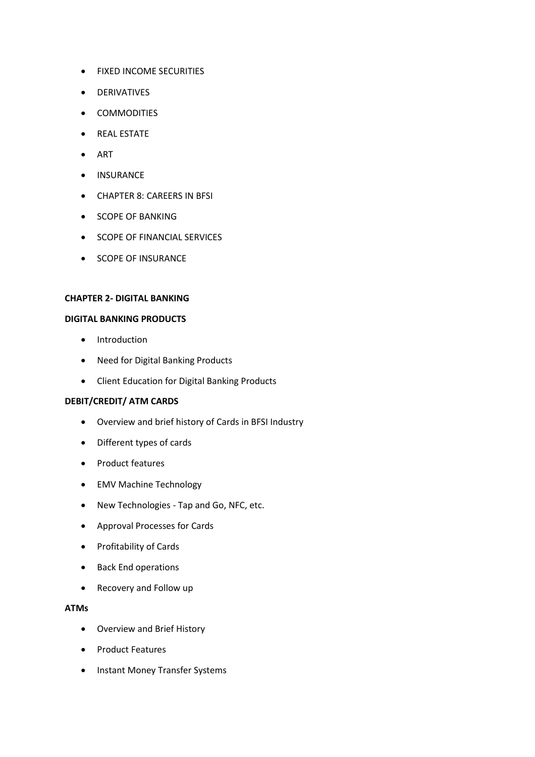- FIXED INCOME SECURITIES
- DERIVATIVES
- COMMODITIES
- REAL ESTATE
- ART
- INSURANCE
- CHAPTER 8: CAREERS IN BFSI
- SCOPE OF BANKING
- SCOPE OF FINANCIAL SERVICES
- SCOPE OF INSURANCE

#### **CHAPTER 2- DIGITAL BANKING**

#### **DIGITAL BANKING PRODUCTS**

- Introduction
- Need for Digital Banking Products
- Client Education for Digital Banking Products

### **DEBIT/CREDIT/ ATM CARDS**

- Overview and brief history of Cards in BFSI Industry
- Different types of cards
- Product features
- EMV Machine Technology
- New Technologies Tap and Go, NFC, etc.
- Approval Processes for Cards
- Profitability of Cards
- Back End operations
- Recovery and Follow up

### **ATMs**

- Overview and Brief History
- Product Features
- Instant Money Transfer Systems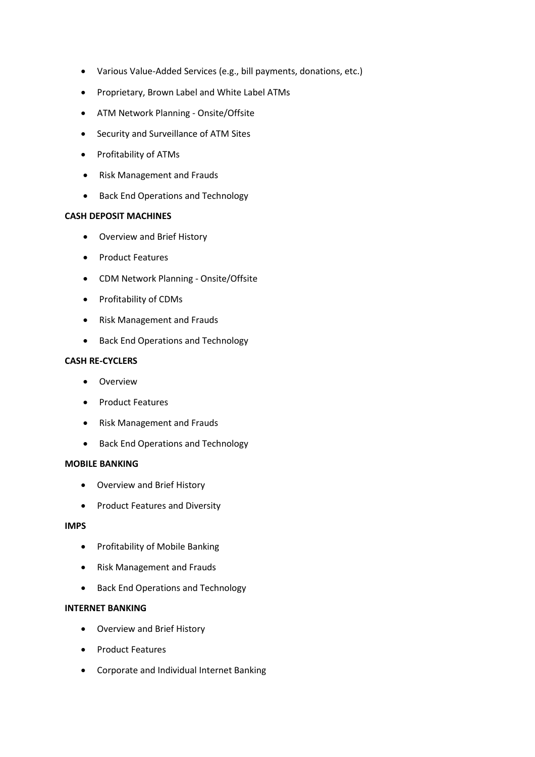- Various Value-Added Services (e.g., bill payments, donations, etc.)
- Proprietary, Brown Label and White Label ATMs
- ATM Network Planning Onsite/Offsite
- Security and Surveillance of ATM Sites
- Profitability of ATMs
- Risk Management and Frauds
- Back End Operations and Technology

### **CASH DEPOSIT MACHINES**

- Overview and Brief History
- Product Features
- CDM Network Planning Onsite/Offsite
- Profitability of CDMs
- Risk Management and Frauds
- Back End Operations and Technology

### **CASH RE-CYCLERS**

- Overview
- Product Features
- Risk Management and Frauds
- Back End Operations and Technology

### **MOBILE BANKING**

- Overview and Brief History
- Product Features and Diversity

# **IMPS**

- Profitability of Mobile Banking
- Risk Management and Frauds
- Back End Operations and Technology

### **INTERNET BANKING**

- Overview and Brief History
- Product Features
- Corporate and Individual Internet Banking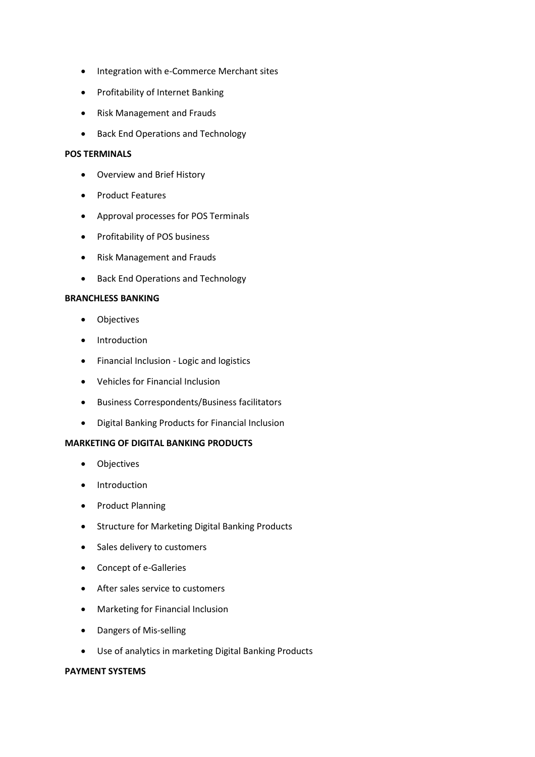- Integration with e-Commerce Merchant sites
- Profitability of Internet Banking
- Risk Management and Frauds
- Back End Operations and Technology

# **POS TERMINALS**

- Overview and Brief History
- Product Features
- Approval processes for POS Terminals
- Profitability of POS business
- Risk Management and Frauds
- Back End Operations and Technology

### **BRANCHLESS BANKING**

- Objectives
- Introduction
- Financial Inclusion Logic and logistics
- Vehicles for Financial Inclusion
- Business Correspondents/Business facilitators
- Digital Banking Products for Financial Inclusion

### **MARKETING OF DIGITAL BANKING PRODUCTS**

- Objectives
- Introduction
- Product Planning
- Structure for Marketing Digital Banking Products
- Sales delivery to customers
- Concept of e-Galleries
- After sales service to customers
- Marketing for Financial Inclusion
- Dangers of Mis-selling
- Use of analytics in marketing Digital Banking Products

### **PAYMENT SYSTEMS**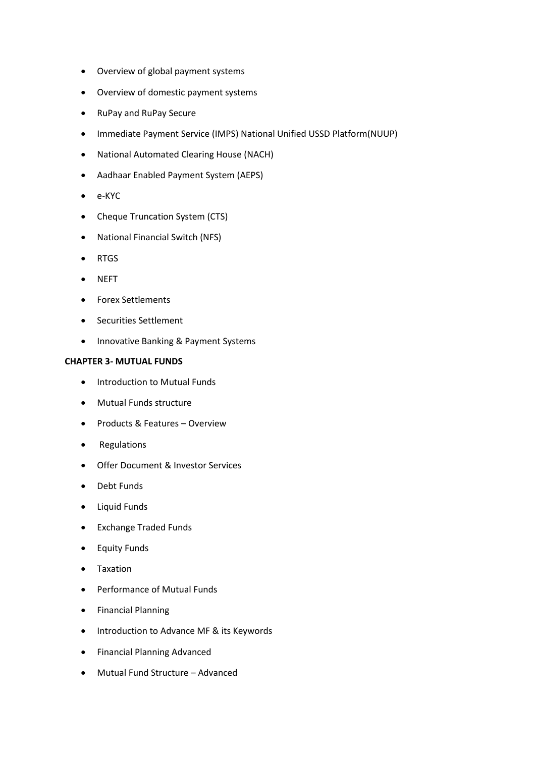- Overview of global payment systems
- Overview of domestic payment systems
- RuPay and RuPay Secure
- Immediate Payment Service (IMPS) National Unified USSD Platform(NUUP)
- National Automated Clearing House (NACH)
- Aadhaar Enabled Payment System (AEPS)
- e-KYC
- Cheque Truncation System (CTS)
- National Financial Switch (NFS)
- RTGS
- NEFT
- Forex Settlements
- Securities Settlement
- Innovative Banking & Payment Systems

### **CHAPTER 3- MUTUAL FUNDS**

- Introduction to Mutual Funds
- Mutual Funds structure
- Products & Features Overview
- Regulations
- Offer Document & Investor Services
- Debt Funds
- Liquid Funds
- Exchange Traded Funds
- Equity Funds
- Taxation
- Performance of Mutual Funds
- Financial Planning
- Introduction to Advance MF & its Keywords
- Financial Planning Advanced
- Mutual Fund Structure Advanced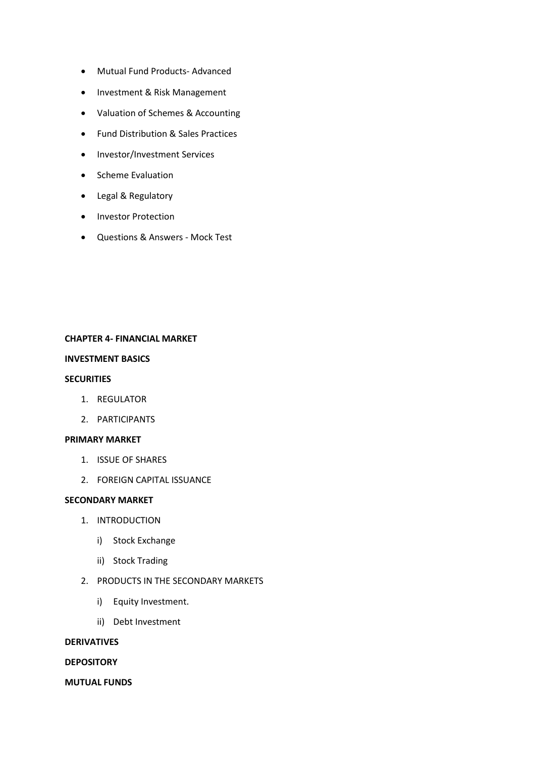- Mutual Fund Products- Advanced
- Investment & Risk Management
- Valuation of Schemes & Accounting
- Fund Distribution & Sales Practices
- Investor/Investment Services
- Scheme Evaluation
- Legal & Regulatory
- Investor Protection
- Questions & Answers Mock Test

### **CHAPTER 4- FINANCIAL MARKET**

### **INVESTMENT BASICS**

#### **SECURITIES**

- 1. REGULATOR
- 2. PARTICIPANTS

#### **PRIMARY MARKET**

- 1. ISSUE OF SHARES
- 2. FOREIGN CAPITAL ISSUANCE

### **SECONDARY MARKET**

- 1. INTRODUCTION
	- i) Stock Exchange
	- ii) Stock Trading
- 2. PRODUCTS IN THE SECONDARY MARKETS
	- i) Equity Investment.
	- ii) Debt Investment

### **DERIVATIVES**

#### **DEPOSITORY**

### **MUTUAL FUNDS**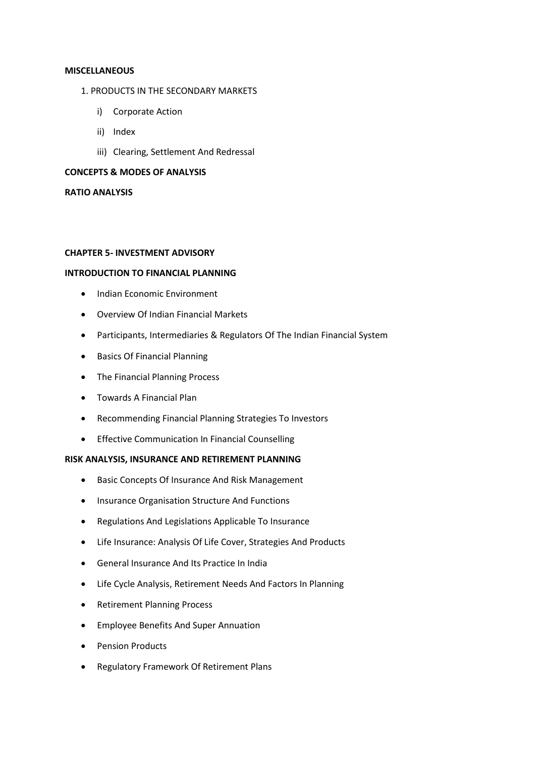#### **MISCELLANEOUS**

- 1. PRODUCTS IN THE SECONDARY MARKETS
	- i) Corporate Action
	- ii) Index
	- iii) Clearing, Settlement And Redressal

# **CONCEPTS & MODES OF ANALYSIS**

#### **RATIO ANALYSIS**

### **CHAPTER 5- INVESTMENT ADVISORY**

#### **INTRODUCTION TO FINANCIAL PLANNING**

- Indian Economic Environment
- Overview Of Indian Financial Markets
- Participants, Intermediaries & Regulators Of The Indian Financial System
- Basics Of Financial Planning
- The Financial Planning Process
- Towards A Financial Plan
- Recommending Financial Planning Strategies To Investors
- Effective Communication In Financial Counselling

#### **RISK ANALYSIS, INSURANCE AND RETIREMENT PLANNING**

- Basic Concepts Of Insurance And Risk Management
- Insurance Organisation Structure And Functions
- Regulations And Legislations Applicable To Insurance
- Life Insurance: Analysis Of Life Cover, Strategies And Products
- General Insurance And Its Practice In India
- Life Cycle Analysis, Retirement Needs And Factors In Planning
- Retirement Planning Process
- Employee Benefits And Super Annuation
- Pension Products
- Regulatory Framework Of Retirement Plans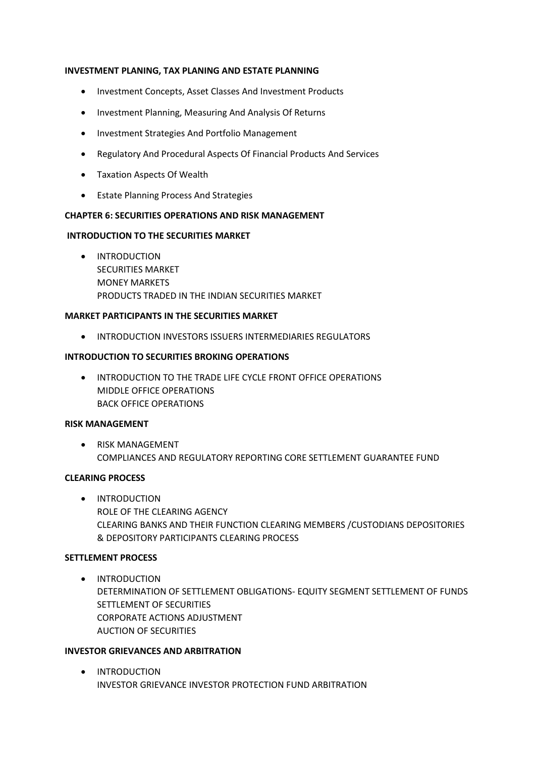### **INVESTMENT PLANING, TAX PLANING AND ESTATE PLANNING**

- Investment Concepts, Asset Classes And Investment Products
- Investment Planning, Measuring And Analysis Of Returns
- Investment Strategies And Portfolio Management
- Regulatory And Procedural Aspects Of Financial Products And Services
- Taxation Aspects Of Wealth
- Estate Planning Process And Strategies

### **CHAPTER 6: SECURITIES OPERATIONS AND RISK MANAGEMENT**

### **INTRODUCTION TO THE SECURITIES MARKET**

• INTRODUCTION SECURITIES MARKET MONEY MARKETS PRODUCTS TRADED IN THE INDIAN SECURITIES MARKET

### **MARKET PARTICIPANTS IN THE SECURITIES MARKET**

• INTRODUCTION INVESTORS ISSUERS INTERMEDIARIES REGULATORS

### **INTRODUCTION TO SECURITIES BROKING OPERATIONS**

• INTRODUCTION TO THE TRADE LIFE CYCLE FRONT OFFICE OPERATIONS MIDDLE OFFICE OPERATIONS BACK OFFICE OPERATIONS

### **RISK MANAGEMENT**

• RISK MANAGEMENT COMPLIANCES AND REGULATORY REPORTING CORE SETTLEMENT GUARANTEE FUND

### **CLEARING PROCESS**

• INTRODUCTION ROLE OF THE CLEARING AGENCY CLEARING BANKS AND THEIR FUNCTION CLEARING MEMBERS /CUSTODIANS DEPOSITORIES & DEPOSITORY PARTICIPANTS CLEARING PROCESS

### **SETTLEMENT PROCESS**

• INTRODUCTION DETERMINATION OF SETTLEMENT OBLIGATIONS- EQUITY SEGMENT SETTLEMENT OF FUNDS SETTLEMENT OF SECURITIES CORPORATE ACTIONS ADJUSTMENT AUCTION OF SECURITIES

### **INVESTOR GRIEVANCES AND ARBITRATION**

• INTRODUCTION INVESTOR GRIEVANCE INVESTOR PROTECTION FUND ARBITRATION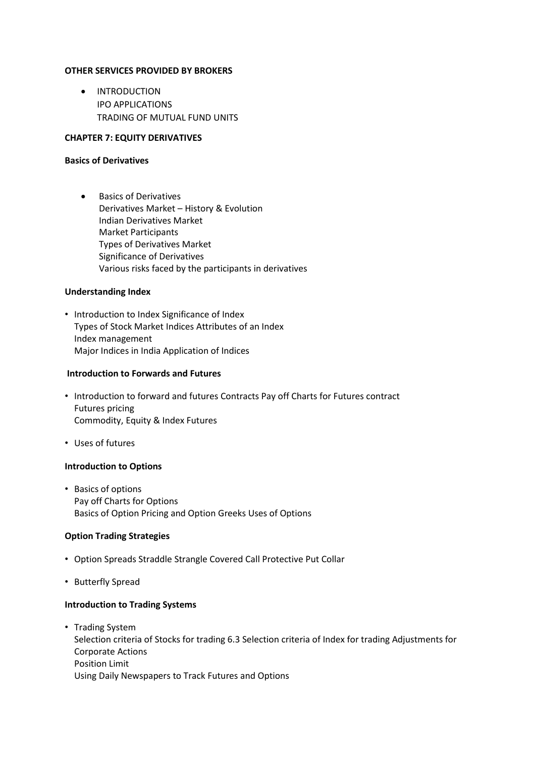### **OTHER SERVICES PROVIDED BY BROKERS**

• INTRODUCTION IPO APPLICATIONS TRADING OF MUTUAL FUND UNITS

### **CHAPTER 7: EQUITY DERIVATIVES**

#### **Basics of Derivatives**

• Basics of Derivatives Derivatives Market – History & Evolution Indian Derivatives Market Market Participants Types of Derivatives Market Significance of Derivatives Various risks faced by the participants in derivatives

### **Understanding Index**

• Introduction to Index Significance of Index Types of Stock Market Indices Attributes of an Index Index management Major Indices in India Application of Indices

#### **Introduction to Forwards and Futures**

- Introduction to forward and futures Contracts Pay off Charts for Futures contract Futures pricing Commodity, Equity & Index Futures
- Uses of futures

#### **Introduction to Options**

• Basics of options Pay off Charts for Options Basics of Option Pricing and Option Greeks Uses of Options

#### **Option Trading Strategies**

- Option Spreads Straddle Strangle Covered Call Protective Put Collar
- Butterfly Spread

# **Introduction to Trading Systems**

• Trading System Selection criteria of Stocks for trading 6.3 Selection criteria of Index for trading Adjustments for Corporate Actions Position Limit Using Daily Newspapers to Track Futures and Options